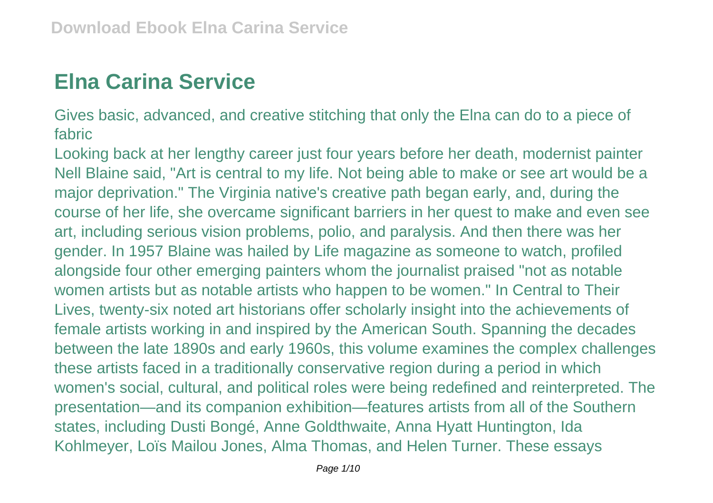## **Elna Carina Service**

Gives basic, advanced, and creative stitching that only the Elna can do to a piece of fabric

Looking back at her lengthy career just four years before her death, modernist painter Nell Blaine said, "Art is central to my life. Not being able to make or see art would be a major deprivation." The Virginia native's creative path began early, and, during the course of her life, she overcame significant barriers in her quest to make and even see art, including serious vision problems, polio, and paralysis. And then there was her gender. In 1957 Blaine was hailed by Life magazine as someone to watch, profiled alongside four other emerging painters whom the journalist praised "not as notable women artists but as notable artists who happen to be women." In Central to Their Lives, twenty-six noted art historians offer scholarly insight into the achievements of female artists working in and inspired by the American South. Spanning the decades between the late 1890s and early 1960s, this volume examines the complex challenges these artists faced in a traditionally conservative region during a period in which women's social, cultural, and political roles were being redefined and reinterpreted. The presentation—and its companion exhibition—features artists from all of the Southern states, including Dusti Bongé, Anne Goldthwaite, Anna Hyatt Huntington, Ida Kohlmeyer, Loïs Mailou Jones, Alma Thomas, and Helen Turner. These essays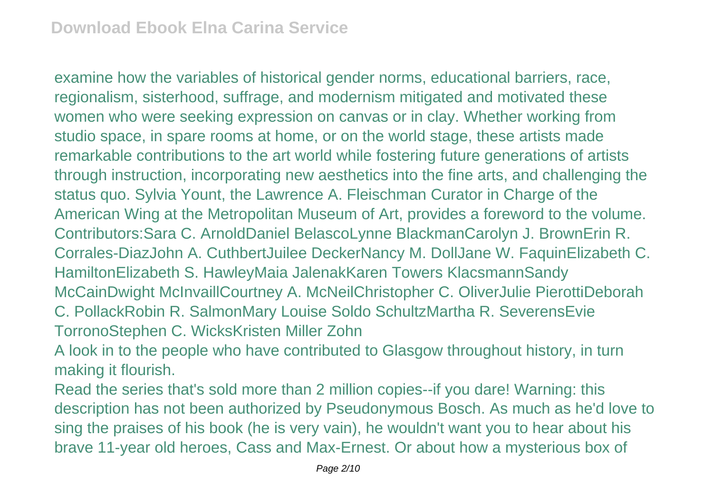examine how the variables of historical gender norms, educational barriers, race, regionalism, sisterhood, suffrage, and modernism mitigated and motivated these women who were seeking expression on canvas or in clay. Whether working from studio space, in spare rooms at home, or on the world stage, these artists made remarkable contributions to the art world while fostering future generations of artists through instruction, incorporating new aesthetics into the fine arts, and challenging the status quo. Sylvia Yount, the Lawrence A. Fleischman Curator in Charge of the American Wing at the Metropolitan Museum of Art, provides a foreword to the volume. Contributors:Sara C. ArnoldDaniel BelascoLynne BlackmanCarolyn J. BrownErin R. Corrales-DiazJohn A. CuthbertJuilee DeckerNancy M. DollJane W. FaquinElizabeth C. HamiltonElizabeth S. HawleyMaia JalenakKaren Towers KlacsmannSandy McCainDwight McInvaillCourtney A. McNeilChristopher C. OliverJulie PierottiDeborah C. PollackRobin R. SalmonMary Louise Soldo SchultzMartha R. SeverensEvie TorronoStephen C. WicksKristen Miller Zohn

A look in to the people who have contributed to Glasgow throughout history, in turn making it flourish.

Read the series that's sold more than 2 million copies--if you dare! Warning: this description has not been authorized by Pseudonymous Bosch. As much as he'd love to sing the praises of his book (he is very vain), he wouldn't want you to hear about his brave 11-year old heroes, Cass and Max-Ernest. Or about how a mysterious box of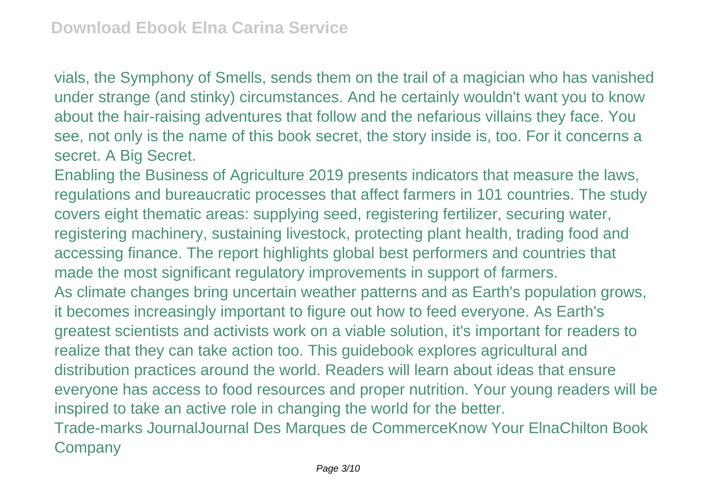vials, the Symphony of Smells, sends them on the trail of a magician who has vanished under strange (and stinky) circumstances. And he certainly wouldn't want you to know about the hair-raising adventures that follow and the nefarious villains they face. You see, not only is the name of this book secret, the story inside is, too. For it concerns a secret. A Big Secret.

Enabling the Business of Agriculture 2019 presents indicators that measure the laws, regulations and bureaucratic processes that affect farmers in 101 countries. The study covers eight thematic areas: supplying seed, registering fertilizer, securing water, registering machinery, sustaining livestock, protecting plant health, trading food and accessing finance. The report highlights global best performers and countries that made the most significant regulatory improvements in support of farmers. As climate changes bring uncertain weather patterns and as Earth's population grows, it becomes increasingly important to figure out how to feed everyone. As Earth's greatest scientists and activists work on a viable solution, it's important for readers to realize that they can take action too. This guidebook explores agricultural and distribution practices around the world. Readers will learn about ideas that ensure everyone has access to food resources and proper nutrition. Your young readers will be inspired to take an active role in changing the world for the better. Trade-marks JournalJournal Des Marques de CommerceKnow Your ElnaChilton Book **Company**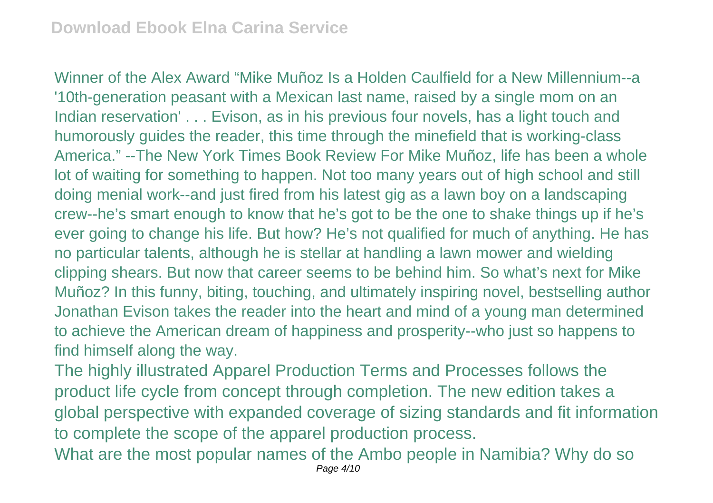Winner of the Alex Award "Mike Muñoz Is a Holden Caulfield for a New Millennium--a '10th-generation peasant with a Mexican last name, raised by a single mom on an Indian reservation' . . . Evison, as in his previous four novels, has a light touch and humorously guides the reader, this time through the minefield that is working-class America." --The New York Times Book Review For Mike Muñoz, life has been a whole lot of waiting for something to happen. Not too many years out of high school and still doing menial work--and just fired from his latest gig as a lawn boy on a landscaping crew--he's smart enough to know that he's got to be the one to shake things up if he's ever going to change his life. But how? He's not qualified for much of anything. He has no particular talents, although he is stellar at handling a lawn mower and wielding clipping shears. But now that career seems to be behind him. So what's next for Mike Muñoz? In this funny, biting, touching, and ultimately inspiring novel, bestselling author Jonathan Evison takes the reader into the heart and mind of a young man determined to achieve the American dream of happiness and prosperity--who just so happens to find himself along the way.

The highly illustrated Apparel Production Terms and Processes follows the product life cycle from concept through completion. The new edition takes a global perspective with expanded coverage of sizing standards and fit information to complete the scope of the apparel production process.

What are the most popular names of the Ambo people in Namibia? Why do so Page 4/10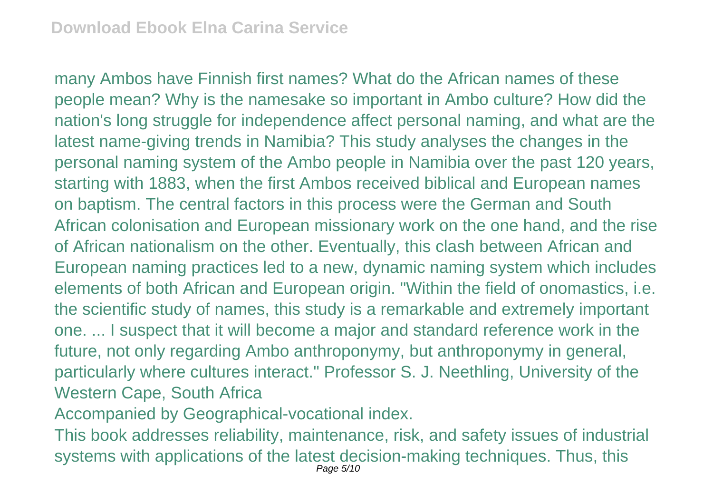many Ambos have Finnish first names? What do the African names of these people mean? Why is the namesake so important in Ambo culture? How did the nation's long struggle for independence affect personal naming, and what are the latest name-giving trends in Namibia? This study analyses the changes in the personal naming system of the Ambo people in Namibia over the past 120 years, starting with 1883, when the first Ambos received biblical and European names on baptism. The central factors in this process were the German and South African colonisation and European missionary work on the one hand, and the rise of African nationalism on the other. Eventually, this clash between African and European naming practices led to a new, dynamic naming system which includes elements of both African and European origin. "Within the field of onomastics, i.e. the scientific study of names, this study is a remarkable and extremely important one. ... I suspect that it will become a major and standard reference work in the future, not only regarding Ambo anthroponymy, but anthroponymy in general, particularly where cultures interact." Professor S. J. Neethling, University of the Western Cape, South Africa

Accompanied by Geographical-vocational index.

This book addresses reliability, maintenance, risk, and safety issues of industrial systems with applications of the latest decision-making techniques. Thus, this Page 5/10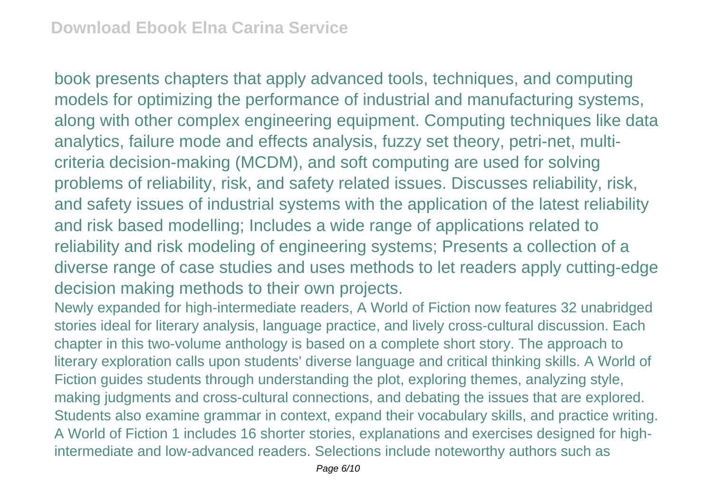book presents chapters that apply advanced tools, techniques, and computing models for optimizing the performance of industrial and manufacturing systems, along with other complex engineering equipment. Computing techniques like data analytics, failure mode and effects analysis, fuzzy set theory, petri-net, multicriteria decision-making (MCDM), and soft computing are used for solving problems of reliability, risk, and safety related issues. Discusses reliability, risk, and safety issues of industrial systems with the application of the latest reliability and risk based modelling; Includes a wide range of applications related to reliability and risk modeling of engineering systems; Presents a collection of a diverse range of case studies and uses methods to let readers apply cutting-edge decision making methods to their own projects.

Newly expanded for high-intermediate readers, A World of Fiction now features 32 unabridged stories ideal for literary analysis, language practice, and lively cross-cultural discussion. Each chapter in this two-volume anthology is based on a complete short story. The approach to literary exploration calls upon students' diverse language and critical thinking skills. A World of Fiction guides students through understanding the plot, exploring themes, analyzing style, making judgments and cross-cultural connections, and debating the issues that are explored. Students also examine grammar in context, expand their vocabulary skills, and practice writing. A World of Fiction 1 includes 16 shorter stories, explanations and exercises designed for highintermediate and low-advanced readers. Selections include noteworthy authors such as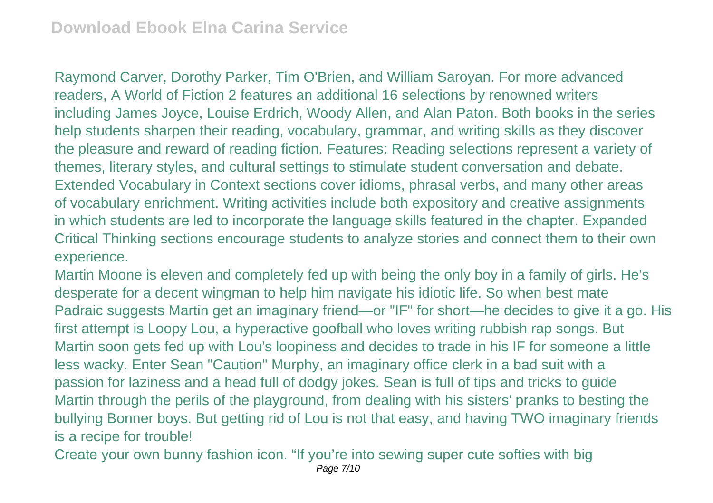Raymond Carver, Dorothy Parker, Tim O'Brien, and William Saroyan. For more advanced readers, A World of Fiction 2 features an additional 16 selections by renowned writers including James Joyce, Louise Erdrich, Woody Allen, and Alan Paton. Both books in the series help students sharpen their reading, vocabulary, grammar, and writing skills as they discover the pleasure and reward of reading fiction. Features: Reading selections represent a variety of themes, literary styles, and cultural settings to stimulate student conversation and debate. Extended Vocabulary in Context sections cover idioms, phrasal verbs, and many other areas of vocabulary enrichment. Writing activities include both expository and creative assignments in which students are led to incorporate the language skills featured in the chapter. Expanded Critical Thinking sections encourage students to analyze stories and connect them to their own experience.

Martin Moone is eleven and completely fed up with being the only boy in a family of girls. He's desperate for a decent wingman to help him navigate his idiotic life. So when best mate Padraic suggests Martin get an imaginary friend—or "IF" for short—he decides to give it a go. His first attempt is Loopy Lou, a hyperactive goofball who loves writing rubbish rap songs. But Martin soon gets fed up with Lou's loopiness and decides to trade in his IF for someone a little less wacky. Enter Sean "Caution" Murphy, an imaginary office clerk in a bad suit with a passion for laziness and a head full of dodgy jokes. Sean is full of tips and tricks to guide Martin through the perils of the playground, from dealing with his sisters' pranks to besting the bullying Bonner boys. But getting rid of Lou is not that easy, and having TWO imaginary friends is a recipe for trouble!

Create your own bunny fashion icon. "If you're into sewing super cute softies with big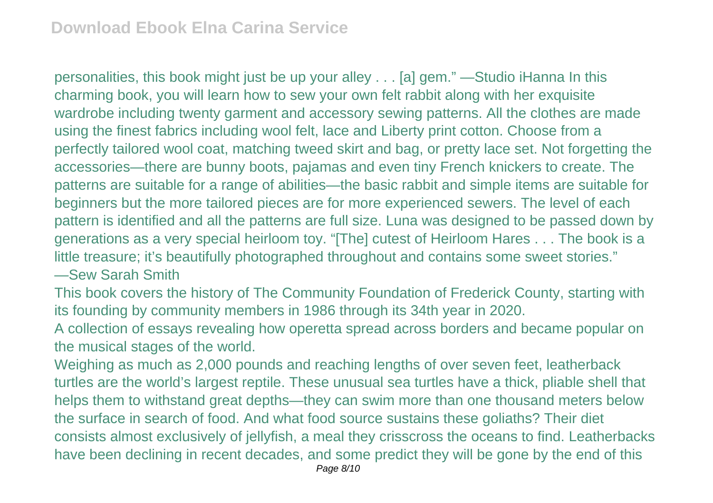personalities, this book might just be up your alley . . . [a] gem." —Studio iHanna In this charming book, you will learn how to sew your own felt rabbit along with her exquisite wardrobe including twenty garment and accessory sewing patterns. All the clothes are made using the finest fabrics including wool felt, lace and Liberty print cotton. Choose from a perfectly tailored wool coat, matching tweed skirt and bag, or pretty lace set. Not forgetting the accessories—there are bunny boots, pajamas and even tiny French knickers to create. The patterns are suitable for a range of abilities—the basic rabbit and simple items are suitable for beginners but the more tailored pieces are for more experienced sewers. The level of each pattern is identified and all the patterns are full size. Luna was designed to be passed down by generations as a very special heirloom toy. "[The] cutest of Heirloom Hares . . . The book is a little treasure; it's beautifully photographed throughout and contains some sweet stories."

—Sew Sarah Smith

This book covers the history of The Community Foundation of Frederick County, starting with its founding by community members in 1986 through its 34th year in 2020.

A collection of essays revealing how operetta spread across borders and became popular on the musical stages of the world.

Weighing as much as 2,000 pounds and reaching lengths of over seven feet, leatherback turtles are the world's largest reptile. These unusual sea turtles have a thick, pliable shell that helps them to withstand great depths—they can swim more than one thousand meters below the surface in search of food. And what food source sustains these goliaths? Their diet consists almost exclusively of jellyfish, a meal they crisscross the oceans to find. Leatherbacks have been declining in recent decades, and some predict they will be gone by the end of this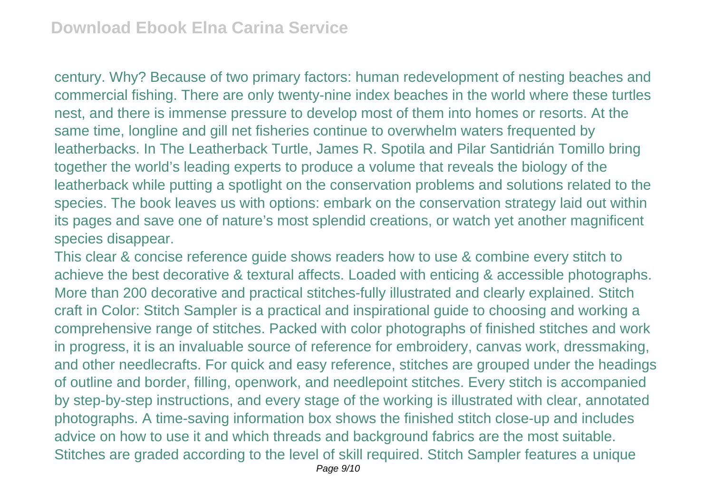century. Why? Because of two primary factors: human redevelopment of nesting beaches and commercial fishing. There are only twenty-nine index beaches in the world where these turtles nest, and there is immense pressure to develop most of them into homes or resorts. At the same time, longline and gill net fisheries continue to overwhelm waters frequented by leatherbacks. In The Leatherback Turtle, James R. Spotila and Pilar Santidrián Tomillo bring together the world's leading experts to produce a volume that reveals the biology of the leatherback while putting a spotlight on the conservation problems and solutions related to the species. The book leaves us with options: embark on the conservation strategy laid out within its pages and save one of nature's most splendid creations, or watch yet another magnificent species disappear.

This clear & concise reference guide shows readers how to use & combine every stitch to achieve the best decorative & textural affects. Loaded with enticing & accessible photographs. More than 200 decorative and practical stitches-fully illustrated and clearly explained. Stitch craft in Color: Stitch Sampler is a practical and inspirational guide to choosing and working a comprehensive range of stitches. Packed with color photographs of finished stitches and work in progress, it is an invaluable source of reference for embroidery, canvas work, dressmaking, and other needlecrafts. For quick and easy reference, stitches are grouped under the headings of outline and border, filling, openwork, and needlepoint stitches. Every stitch is accompanied by step-by-step instructions, and every stage of the working is illustrated with clear, annotated photographs. A time-saving information box shows the finished stitch close-up and includes advice on how to use it and which threads and background fabrics are the most suitable. Stitches are graded according to the level of skill required. Stitch Sampler features a unique